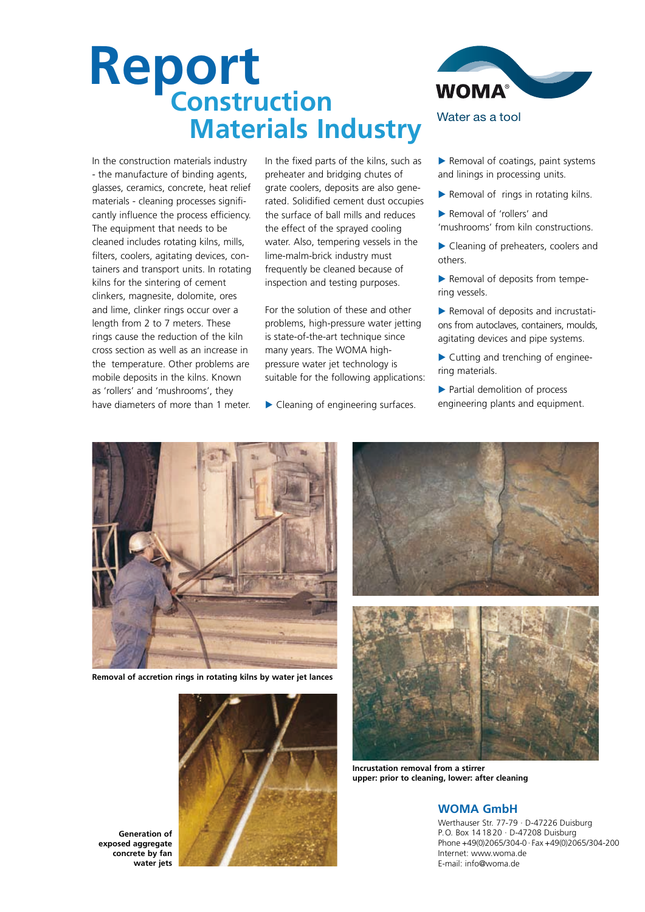# **Report NEUVIL**<br>Construction  **Materials Industry**

In the construction materials industry - the manufacture of binding agents, glasses, ceramics, concrete, heat relief materials - cleaning processes significantly influence the process efficiency. The equipment that needs to be cleaned includes rotating kilns, mills, filters, coolers, agitating devices, containers and transport units. In rotating kilns for the sintering of cement clinkers, magnesite, dolomite, ores and lime, clinker rings occur over a length from 2 to 7 meters. These rings cause the reduction of the kiln cross section as well as an increase in the temperature. Other problems are mobile deposits in the kilns. Known as 'rollers' and 'mushrooms', they have diameters of more than 1 meter.

In the fixed parts of the kilns, such as preheater and bridging chutes of grate coolers, deposits are also generated. Solidified cement dust occupies the surface of ball mills and reduces the effect of the sprayed cooling water. Also, tempering vessels in the lime-malm-brick industry must frequently be cleaned because of inspection and testing purposes.

For the solution of these and other problems, high-pressure water jetting is state-of-the-art technique since many years. The WOMA highpressure water jet technology is suitable for the following applications:

▶ Cleaning of engineering surfaces.



- $\blacktriangleright$  Removal of coatings, paint systems and linings in processing units.
- Removal of rings in rotating kilns.
- Removal of 'rollers' and 'mushrooms' from kiln constructions.
- Cleaning of preheaters, coolers and others.
- Removal of deposits from tempering vessels.
- Removal of deposits and incrustations from autoclaves, containers, moulds, agitating devices and pipe systems.
- Cutting and trenching of engineering materials.
- Partial demolition of process engineering plants and equipment.



**Removal of accretion rings in rotating kilns by water jet lances**



**Generation of exposed aggregate concrete by fan water jets**





**Incrustation removal from a stirrer upper: prior to cleaning, lower: after cleaning**

## **WOMA GmbH**

Werthauser Str. 77-79 · D-47226 Duisburg P.O. Box 14 18 20 · D-47208 Duisburg Phone +49(0)2065/304-0 · Fax +49(0)2065/304-200 Internet: www.woma.de E-mail: info@woma.de